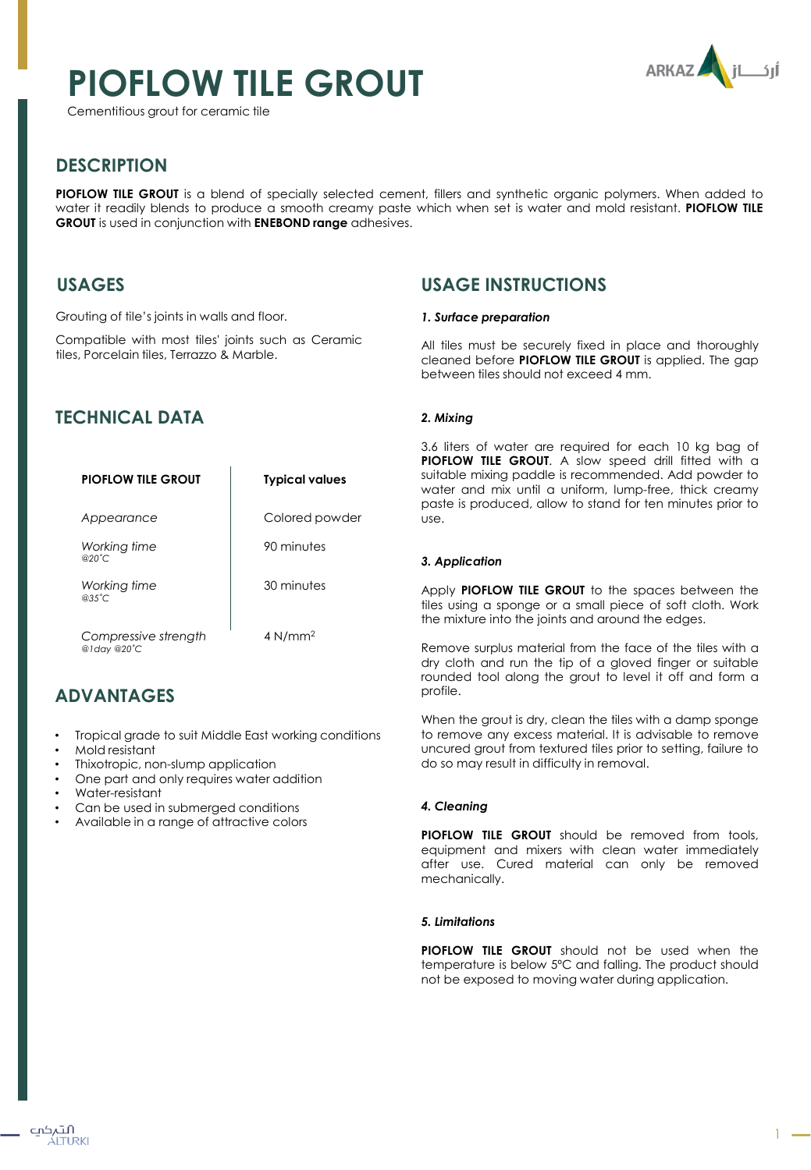# **PIOFLOW TILE GROUT**

Cementitious grout for ceramic tile



# **DESCRIPTION**

**PIOFLOW TILE GROUT** is a blend of specially selected cement, fillers and synthetic organic polymers. When added to water it readily blends to produce a smooth creamy paste which when set is water and mold resistant. **PIOFLOW TILE GROUT** is used in conjunction with **ENEBOND range** adhesives.

# **USAGES**

Grouting of tile's joints in walls and floor.

Compatible with most tiles' joints such as Ceramic tiles, Porcelain tiles, Terrazzo & Marble.

# **TECHNICAL DATA**

| <b>PIOFLOW TILE GROUT</b>           | <b>Typical values</b> |
|-------------------------------------|-----------------------|
| Appearance                          | Colored powder        |
| Working time<br>@20°C               | 90 minutes            |
| Working time<br>$@35^{\circ}$ C     | 30 minutes            |
| Compressive strength<br>@1day @20°C | $4$ N/mm <sup>2</sup> |

# **ADVANTAGES**

- Tropical grade to suit Middle East working conditions
- Mold resistant
- Thixotropic, non-slump application
- One part and only requires water addition
- Water-resistant

التہکپ ÁLTURKI

- Can be used in submerged conditions
- Available in a range of attractive colors

# **USAGE INSTRUCTIONS**

#### *1. Surface preparation*

All tiles must be securely fixed in place and thoroughly cleaned before **PIOFLOW TILE GROUT** is applied. The gap between tiles should not exceed 4 mm.

#### *2. Mixing*

3.6 liters of water are required for each 10 kg bag of **PIOFLOW TILE GROUT**. A slow speed drill fitted with a suitable mixing paddle is recommended. Add powder to water and mix until a uniform, lump-free, thick creamy paste is produced, allow to stand for ten minutes prior to use.

#### *3. Application*

Apply **PIOFLOW TILE GROUT** to the spaces between the tiles using a sponge or a small piece of soft cloth. Work the mixture into the joints and around the edges.

Remove surplus material from the face of the tiles with a dry cloth and run the tip of a gloved finger or suitable rounded tool along the grout to level it off and form a profile.

When the grout is dry, clean the tiles with a damp sponge to remove any excess material. It is advisable to remove uncured grout from textured tiles prior to setting, failure to do so may result in difficulty in removal.

#### *4. Cleaning*

**PIOFLOW TILE GROUT** should be removed from tools, equipment and mixers with clean water immediately after use. Cured material can only be removed mechanically.

#### *5. Limitations*

**PIOFLOW TILE GROUT** should not be used when the temperature is below 5ºC and falling. The product should not be exposed to moving water during application.

1